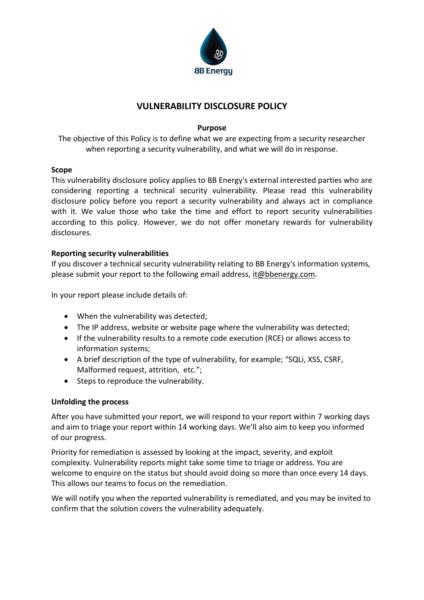

# **VULNERABILITY DISCLOSURE POLICY**

## **Purpose**

The objective of this Policy is to define what we are expecting from a security researcher when reporting a security vulnerability, and what we will do in response.

### **Scope**

This vulnerability disclosure policy applies to BB Energy's external interested parties who are considering reporting a technical security vulnerability. Please read this vulnerability disclosure policy before you report a security vulnerability and always act in compliance with it. We value those who take the time and effort to report security vulnerabilities according to this policy. However, we do not offer monetary rewards for vulnerability disclosures.

## **Reporting security vulnerabilities**

If you discover a technical security vulnerability relating to BB Energy's information systems, please submit your report to the following email address, it@bbenergy.com.

In your report please include details of:

- When the vulnerability was detected:
- The IP address, website or website page where the vulnerability was detected;
- If the vulnerability results to a remote code execution (RCE) or allows access to information systems;
- A brief description of the type of vulnerability, for example; "SQLi, XSS, CSRF, Malformed request, attrition, etc.";
- Steps to reproduce the vulnerability.

### **Unfolding the process**

After you have submitted your report, we will respond to your report within 7 working days and aim to triage your report within 14 working days. We'll also aim to keep you informed of our progress.

Priority for remediation is assessed by looking at the impact, severity, and exploit complexity. Vulnerability reports might take some time to triage or address. You are welcome to enquire on the status but should avoid doing so more than once every 14 days. This allows our teams to focus on the remediation.

We will notify you when the reported vulnerability is remediated, and you may be invited to confirm that the solution covers the vulnerability adequately.